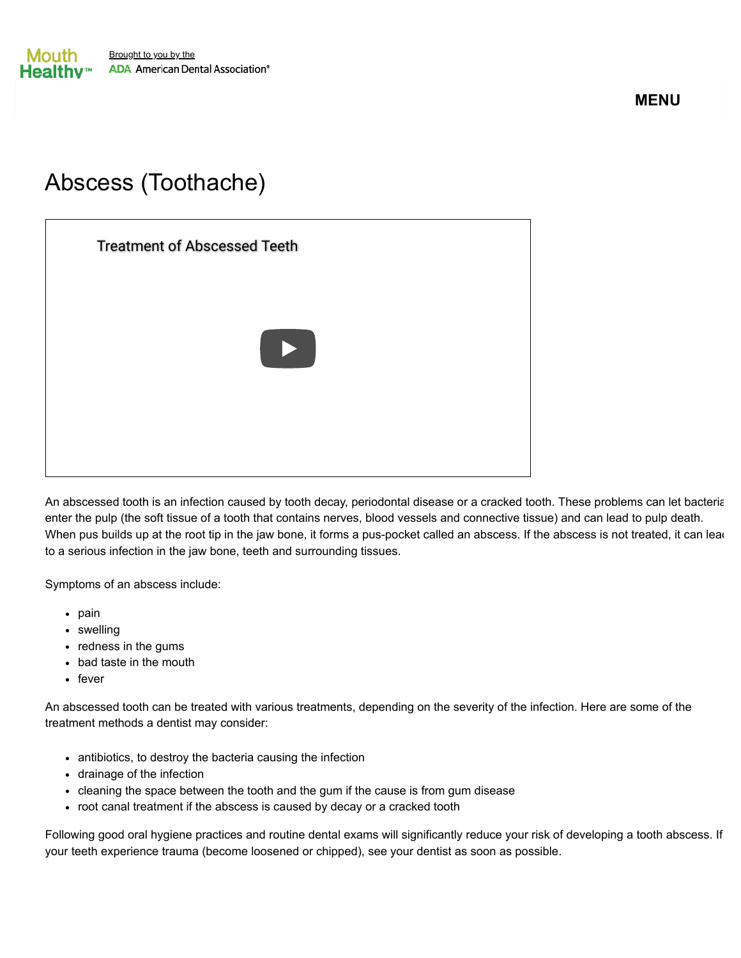**MENU**

## Abscess (Toothache)

[Treatment of Abscessed Teeth](https://www.youtube.com/watch?v=3pDwBbaGsnw)

An abscessed tooth is an infection caused by tooth decay, periodontal disease or a cracked tooth. These problems can let bacteria enter the pulp (the soft tissue of a tooth that contains nerves, blood vessels and connective tissue) and can lead to pulp death. When pus builds up at the root tip in the jaw bone, it forms a pus-pocket called an abscess. If the abscess is not treated, it can lead to a serious infection in the jaw bone, teeth and surrounding tissues.

Symptoms of an abscess include:

- $\bullet$  pain
- swelling
- redness in the gums
- bad taste in the mouth
- $\cdot$  fever

An abscessed tooth can be treated with various treatments, depending on the severity of the infection. Here are some of the treatment methods a dentist may consider:

- antibiotics, to destroy the bacteria causing the infection
- drainage of the infection
- cleaning the space between the tooth and the gum if the cause is from gum disease
- root canal treatment if the abscess is caused by decay or a cracked tooth

Following good oral hygiene practices and routine dental exams will significantly reduce your risk of developing a tooth abscess. If your teeth experience trauma (become loosened or chipped), see your dentist as soon as possible.